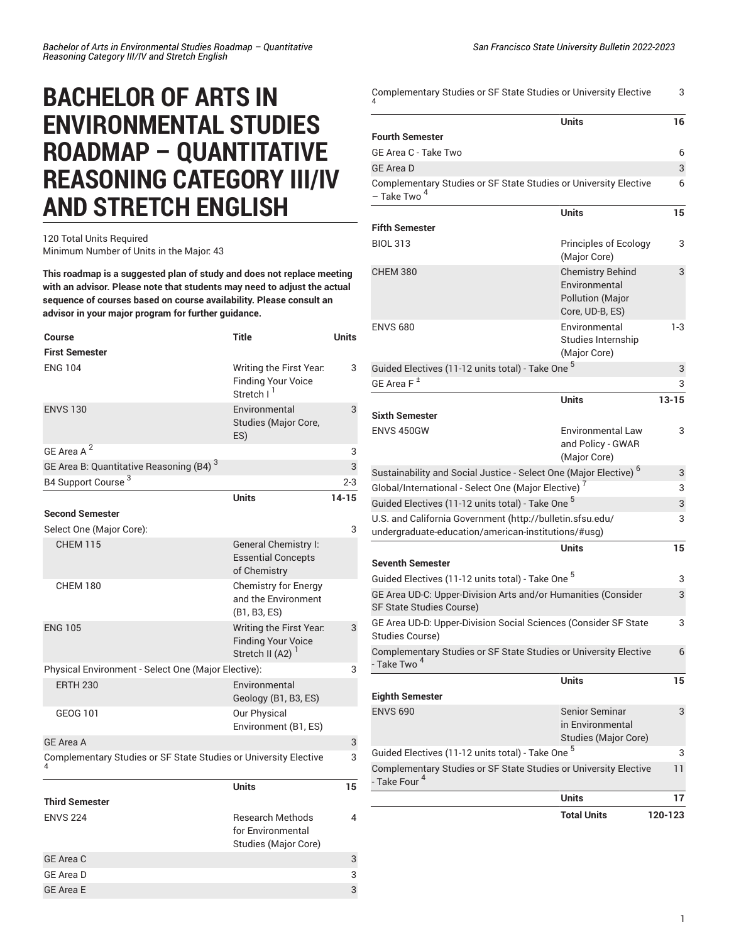# **BACHELOR OF ARTS IN ENVIRONMENTAL STUDIES ROADMAP – QUANTITATIVE REASONING CATEGORY III/IV AND STRETCH ENGLISH**

### 120 Total Units Required Minimum Number of Units in the Major: 43

**This roadmap is a suggested plan of study and does not replace meeting with an advisor. Please note that students may need to adjust the actual sequence of courses based on course availability. Please consult an advisor in your major program for further guidance.**

| Course                                                           | <b>Title</b>                                                                         | <b>Units</b> |
|------------------------------------------------------------------|--------------------------------------------------------------------------------------|--------------|
| <b>First Semester</b>                                            |                                                                                      |              |
| <b>ENG 104</b>                                                   | Writing the First Year.<br><b>Finding Your Voice</b><br>Stretch I <sup>I</sup>       | 3            |
| <b>ENVS 130</b>                                                  | Environmental<br>Studies (Major Core,<br>ES)                                         | 3            |
| GE Area A <sup>2</sup>                                           |                                                                                      | 3            |
| GE Area B: Quantitative Reasoning (B4) <sup>3</sup>              |                                                                                      | 3            |
| B4 Support Course <sup>3</sup>                                   |                                                                                      | $2 - 3$      |
|                                                                  | <b>Units</b>                                                                         | $14 - 15$    |
| <b>Second Semester</b>                                           |                                                                                      |              |
| Select One (Major Core):                                         |                                                                                      | 3            |
| <b>CHFM 115</b>                                                  | General Chemistry I:<br><b>Essential Concepts</b><br>of Chemistry                    |              |
| <b>CHEM 180</b>                                                  | <b>Chemistry for Energy</b><br>and the Environment<br>(B1, B3, ES)                   |              |
| <b>ENG 105</b>                                                   | Writing the First Year.<br><b>Finding Your Voice</b><br>Stretch II (A2) <sup>1</sup> | 3            |
| Physical Environment - Select One (Major Elective):              |                                                                                      | 3            |
| <b>ERTH 230</b>                                                  | Environmental<br>Geology (B1, B3, ES)                                                |              |
| <b>GEOG 101</b>                                                  | Our Physical<br>Environment (B1, ES)                                                 |              |
| <b>GE Area A</b>                                                 |                                                                                      | 3            |
| Complementary Studies or SF State Studies or University Elective |                                                                                      | 3            |
|                                                                  | <b>Units</b>                                                                         | 15           |
| <b>Third Semester</b>                                            |                                                                                      |              |
| <b>ENVS 224</b>                                                  | <b>Research Methods</b><br>for Environmental<br>Studies (Major Core)                 | 4            |
| <b>GE Area C</b>                                                 |                                                                                      | 3            |
| <b>GE Area D</b>                                                 |                                                                                      | 3            |
| <b>GE Area E</b>                                                 |                                                                                      | 3            |

| Complementary Studies or SF State Studies or University Elective                                                 |                                                                                        | 3         |
|------------------------------------------------------------------------------------------------------------------|----------------------------------------------------------------------------------------|-----------|
|                                                                                                                  | <b>Units</b>                                                                           | 16        |
| <b>Fourth Semester</b>                                                                                           |                                                                                        |           |
| GE Area C - Take Two                                                                                             |                                                                                        | 6         |
| <b>GE Area D</b>                                                                                                 |                                                                                        | 3         |
| Complementary Studies or SF State Studies or University Elective<br>- Take Two <sup>4</sup>                      |                                                                                        | 6         |
|                                                                                                                  | <b>Units</b>                                                                           | 15        |
| <b>Fifth Semester</b>                                                                                            |                                                                                        |           |
| <b>BIOL 313</b>                                                                                                  | Principles of Ecology<br>(Major Core)                                                  | 3         |
| <b>CHEM 380</b>                                                                                                  | <b>Chemistry Behind</b><br>Environmental<br><b>Pollution (Major</b><br>Core, UD-B, ES) | 3         |
| <b>ENVS 680</b>                                                                                                  | Environmental<br>Studies Internship<br>(Major Core)                                    | $1-3$     |
| Guided Electives (11-12 units total) - Take One <sup>5</sup>                                                     |                                                                                        | 3         |
| GE Area F $^{\pm}$                                                                                               |                                                                                        | 3         |
|                                                                                                                  | <b>Units</b>                                                                           | $13 - 15$ |
| <b>Sixth Semester</b>                                                                                            |                                                                                        |           |
| ENVS 450GW                                                                                                       | Environmental Law<br>and Policy - GWAR<br>(Major Core)                                 | 3         |
| Sustainability and Social Justice - Select One (Major Elective) <sup>6</sup>                                     |                                                                                        | 3         |
| Global/International - Select One (Major Elective) <sup>7</sup>                                                  |                                                                                        | 3         |
| Guided Electives (11-12 units total) - Take One 5                                                                |                                                                                        | 3         |
| U.S. and California Government (http://bulletin.sfsu.edu/<br>undergraduate-education/american-institutions/#usg) |                                                                                        | 3         |
|                                                                                                                  | <b>Units</b>                                                                           | 15        |
| <b>Seventh Semester</b>                                                                                          |                                                                                        |           |
| Guided Electives (11-12 units total) - Take One <sup>5</sup>                                                     |                                                                                        | 3         |
| GE Area UD-C: Upper-Division Arts and/or Humanities (Consider<br>SF State Studies Course)                        |                                                                                        | 3         |
| GE Area UD-D: Upper-Division Social Sciences (Consider SF State<br>Studies Course)                               |                                                                                        | 3         |
| Complementary Studies or SF State Studies or University Elective<br>- Take Two <sup>4</sup>                      |                                                                                        | 6         |
|                                                                                                                  | <b>Units</b>                                                                           | 15        |
| <b>Eighth Semester</b>                                                                                           |                                                                                        |           |
| <b>ENVS 690</b>                                                                                                  | Senior Seminar<br>in Environmental<br><b>Studies (Major Core)</b>                      | 3         |
| Guided Electives (11-12 units total) - Take One <sup>5</sup>                                                     |                                                                                        | 3         |
| Complementary Studies or SF State Studies or University Elective<br>- Take Four <sup>4</sup>                     |                                                                                        | 11        |
|                                                                                                                  | <b>Units</b>                                                                           | 17        |
|                                                                                                                  | <b>Total Units</b>                                                                     | 120-123   |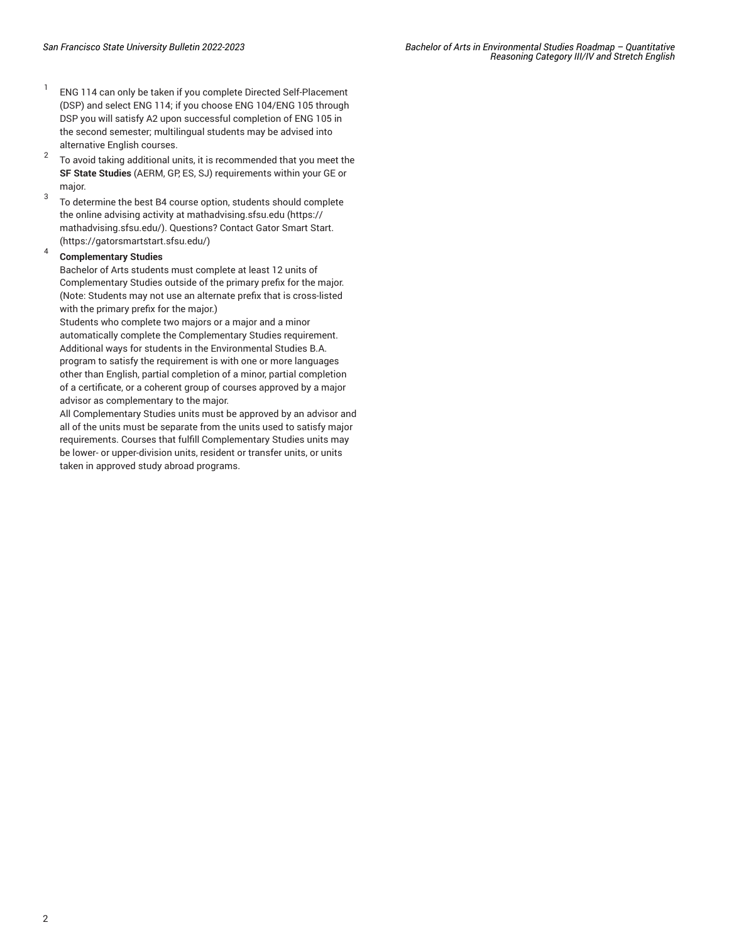- 1 ENG 114 can only be taken if you complete Directed Self-Placement (DSP) and select ENG 114; if you choose ENG 104/ENG 105 through DSP you will satisfy A2 upon successful completion of ENG 105 in the second semester; multilingual students may be advised into alternative English courses.
- $\overline{2}$ To avoid taking additional units, it is recommended that you meet the **SF State Studies** (AERM, GP, ES, SJ) requirements within your GE or major.
- 3 To determine the best B4 course option, students should complete the online advising activity at [mathadvising.sfsu.edu](https://mathadvising.sfsu.edu/) ([https://](https://mathadvising.sfsu.edu/) [mathadvising.sfsu.edu/\)](https://mathadvising.sfsu.edu/). Questions? Contact Gator [Smart](https://gatorsmartstart.sfsu.edu/) Start. ([https://gatorsmartstart.sfsu.edu/\)](https://gatorsmartstart.sfsu.edu/)

#### 4 **Complementary Studies**

Bachelor of Arts students must complete at least 12 units of Complementary Studies outside of the primary prefix for the major. (Note: Students may not use an alternate prefix that is cross-listed with the primary prefix for the major.)

Students who complete two majors or a major and a minor automatically complete the Complementary Studies requirement. Additional ways for students in the Environmental Studies B.A. program to satisfy the requirement is with one or more languages other than English, partial completion of a minor, partial completion of a certificate, or a coherent group of courses approved by a major advisor as complementary to the major.

All Complementary Studies units must be approved by an advisor and all of the units must be separate from the units used to satisfy major requirements. Courses that fulfill Complementary Studies units may be lower- or upper-division units, resident or transfer units, or units taken in approved study abroad programs.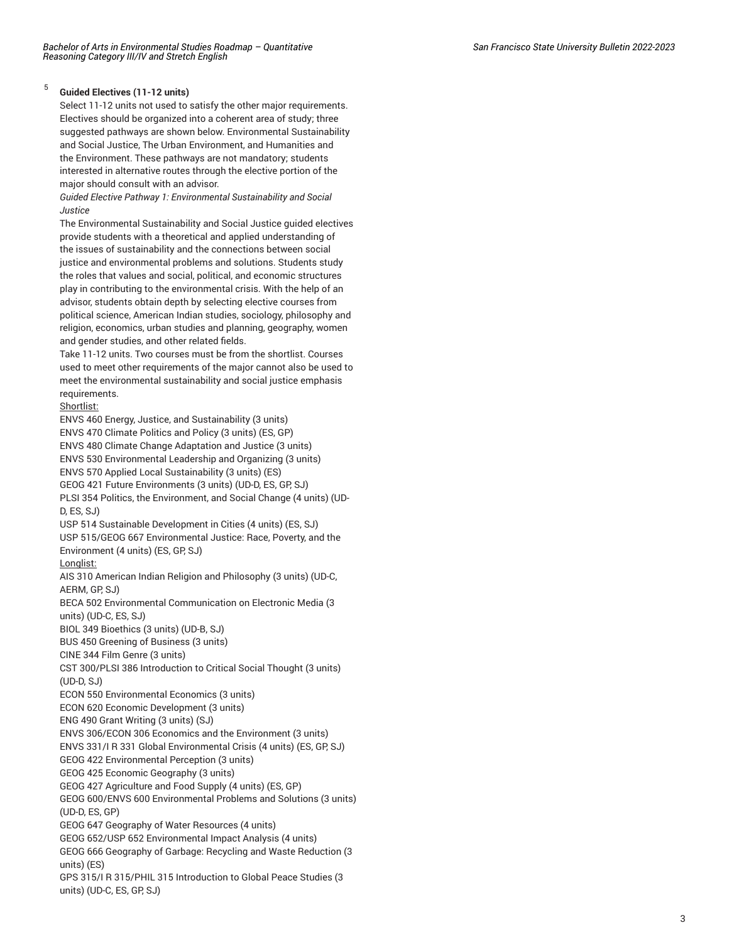#### 5 **Guided Electives (11-12 units)**

Select 11-12 units not used to satisfy the other major requirements. Electives should be organized into a coherent area of study; three suggested pathways are shown below. Environmental Sustainability and Social Justice, The Urban Environment, and Humanities and the Environment. These pathways are not mandatory; students interested in alternative routes through the elective portion of the major should consult with an advisor.

*Guided Elective Pathway 1: Environmental Sustainability and Social Justice*

The Environmental Sustainability and Social Justice guided electives provide students with a theoretical and applied understanding of the issues of sustainability and the connections between social justice and environmental problems and solutions. Students study the roles that values and social, political, and economic structures play in contributing to the environmental crisis. With the help of an advisor, students obtain depth by selecting elective courses from political science, American Indian studies, sociology, philosophy and religion, economics, urban studies and planning, geography, women and gender studies, and other related fields.

Take 11-12 units. Two courses must be from the shortlist. Courses used to meet other requirements of the major cannot also be used to meet the environmental sustainability and social justice emphasis requirements.

## Shortlist:

[ENVS 460](/search/?P=ENVS%20460) Energy, Justice, and Sustainability (3 units) ENVS 470 Climate Politics and Policy (3 units) (ES, GP) ENVS 480 Climate Change Adaptation and Justice (3 units) ENVS 530 Environmental Leadership and Organizing (3 units) ENVS 570 Applied Local Sustainability (3 units) (ES) GEOG 421 Future Environments (3 units) (UD-D, ES, GP, SJ) PLSI 354 Politics, the Environment, and Social Change (4 units) (UD-D, ES, SJ) USP 514 Sustainable Development in Cities (4 units) (ES, SJ)

USP 515/GEOG 667 Environmental Justice: Race, Poverty, and the Environment (4 units) (ES, GP, SJ)

## Longlist:

AIS 310 American Indian Religion and Philosophy (3 units) (UD-C, AERM, GP, SJ)

BECA 502 Environmental Communication on Electronic Media (3 units) (UD-C, ES, SJ)

BIOL 349 Bioethics (3 units) (UD-B, SJ)

BUS 450 Greening of Business (3 units)

CINE 344 Film Genre (3 units)

CST 300/PLSI 386 Introduction to Critical Social Thought (3 units)  $(UD-D, SJ)$ 

ECON 550 Environmental Economics (3 units)

ECON 620 Economic Development (3 units)

ENG 490 Grant Writing (3 units) (SJ)

ENVS 306/ECON 306 Economics and the Environment (3 units)

ENVS 331/I R 331 Global Environmental Crisis (4 units) (ES, GP, SJ)

GEOG 422 Environmental Perception (3 units)

GEOG 425 Economic Geography (3 units)

GEOG 427 Agriculture and Food Supply (4 units) (ES, GP)

GEOG 600/ENVS 600 Environmental Problems and Solutions (3 units) (UD-D, ES, GP)

GEOG 647 Geography of Water Resources (4 units)

GEOG 652/USP 652 Environmental Impact Analysis (4 units)

GEOG 666 Geography of Garbage: Recycling and Waste Reduction (3 units) (ES)

GPS 315/I R 315/PHIL 315 Introduction to Global Peace Studies (3 units) (UD-C, ES, GP, SJ)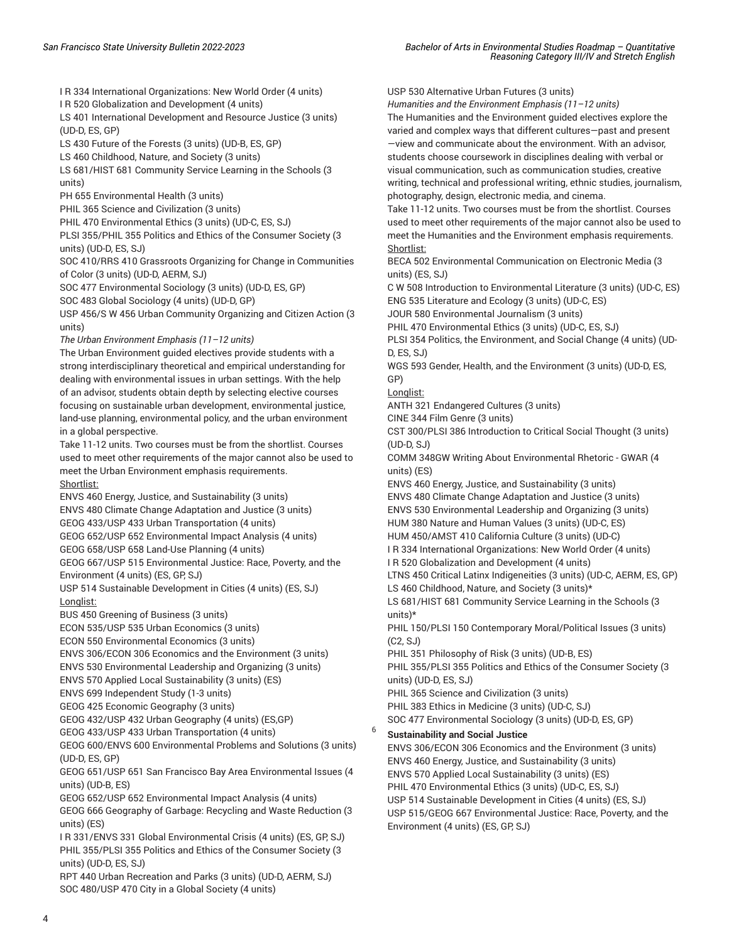I R 334 International Organizations: New World Order (4 units)

I R 520 Globalization and Development (4 units)

LS 401 International Development and Resource Justice (3 units) (UD-D, ES, GP)

LS 430 Future of the Forests (3 units) (UD-B, ES, GP)

LS 460 Childhood, Nature, and Society (3 units)

LS 681/HIST 681 Community Service Learning in the Schools (3 units)

PH 655 Environmental Health (3 units)

PHIL 365 Science and Civilization (3 units)

PHIL 470 Environmental Ethics (3 units) (UD-C, ES, SJ)

PLSI 355/PHIL 355 Politics and Ethics of the Consumer Society (3 units) (UD-D, ES, SJ)

SOC 410/RRS 410 Grassroots Organizing for Change in Communities of Color (3 units) (UD-D, AERM, SJ)

SOC 477 Environmental Sociology (3 units) (UD-D, ES, GP)

SOC 483 Global Sociology (4 units) (UD-D, GP)

USP 456/S W 456 Urban Community Organizing and Citizen Action (3 units)

*The Urban Environment Emphasis (11–12 units)*

The Urban Environment guided electives provide students with a strong interdisciplinary theoretical and empirical understanding for dealing with environmental issues in urban settings. With the help of an advisor, students obtain depth by selecting elective courses focusing on sustainable urban development, environmental justice, land-use planning, environmental policy, and the urban environment in a global perspective.

Take 11-12 units. Two courses must be from the shortlist. Courses used to meet other requirements of the major cannot also be used to meet the Urban Environment emphasis requirements. Shortlist:

ENVS 460 Energy, Justice, and Sustainability (3 units) ENVS 480 Climate Change Adaptation and Justice (3 units)

GEOG 433/USP 433 Urban Transportation (4 units)

GEOG 652/USP 652 Environmental Impact Analysis (4 units)

GEOG 658/USP 658 Land-Use Planning (4 units)

GEOG 667/USP 515 Environmental Justice: Race, Poverty, and the Environment (4 units) (ES, GP, SJ)

USP 514 Sustainable Development in Cities (4 units) (ES, SJ) Longlist:

BUS 450 Greening of Business (3 units)

ECON 535/USP 535 Urban Economics (3 units)

ECON 550 Environmental Economics (3 units)

ENVS 306/ECON 306 Economics and the Environment (3 units)

ENVS 530 Environmental Leadership and Organizing (3 units)

ENVS 570 Applied Local Sustainability (3 units) (ES)

ENVS 699 Independent Study (1-3 units)

GEOG 425 Economic Geography (3 units)

GEOG 432/USP 432 Urban Geography (4 units) (ES,GP)

GEOG 433/USP 433 Urban Transportation (4 units)

GEOG 600/ENVS 600 Environmental Problems and Solutions (3 units) (UD-D, ES, GP)

GEOG 651/USP 651 San Francisco Bay Area Environmental Issues (4 units) (UD-B, ES)

GEOG 652/USP 652 Environmental Impact Analysis (4 units)

GEOG 666 Geography of Garbage: Recycling and Waste Reduction (3 units) (ES)

I R 331/ENVS 331 Global Environmental Crisis (4 units) (ES, GP, SJ) PHIL 355/PLSI 355 Politics and Ethics of the Consumer Society (3 units) (UD-D, ES, SJ)

RPT 440 Urban Recreation and Parks (3 units) (UD-D, AERM, SJ) SOC 480/USP 470 City in a Global Society (4 units)

USP 530 Alternative Urban Futures (3 units) *Humanities and the Environment Emphasis (11–12 units)* The Humanities and the Environment guided electives explore the varied and complex ways that different cultures—past and present —view and communicate about the environment. With an advisor, students choose coursework in disciplines dealing with verbal or visual communication, such as communication studies, creative writing, technical and professional writing, ethnic studies, journalism, photography, design, electronic media, and cinema. Take 11-12 units. Two courses must be from the shortlist. Courses used to meet other requirements of the major cannot also be used to meet the Humanities and the Environment emphasis requirements. Shortlist: BECA 502 Environmental Communication on Electronic Media (3 units) (ES, SJ) C W 508 Introduction to Environmental Literature (3 units) (UD-C, ES) ENG 535 Literature and Ecology (3 units) (UD-C, ES) JOUR 580 Environmental Journalism (3 units) PHIL 470 Environmental Ethics (3 units) (UD-C, ES, SJ) PLSI 354 Politics, the Environment, and Social Change (4 units) (UD-D, ES, SJ) WGS 593 Gender, Health, and the Environment (3 units) (UD-D, ES, GP) Longlist: ANTH 321 Endangered Cultures (3 units) CINE 344 Film Genre (3 units) CST 300/PLSI 386 Introduction to Critical Social Thought (3 units) (UD-D, SJ) COMM 348GW Writing About Environmental Rhetoric - GWAR (4 units) (ES) ENVS 460 Energy, Justice, and Sustainability (3 units) ENVS 480 Climate Change Adaptation and Justice (3 units) ENVS 530 Environmental Leadership and Organizing (3 units) HUM 380 Nature and Human Values (3 units) (UD-C, ES) HUM 450/AMST 410 California Culture (3 units) (UD-C) I R 334 International Organizations: New World Order (4 units) I R 520 Globalization and Development (4 units) LTNS 450 Critical Latinx Indigeneities (3 units) (UD-C, AERM, ES, GP) LS 460 Childhood, Nature, and Society (3 units)\* LS 681/HIST 681 Community Service Learning in the Schools (3 units)\* PHIL 150/PLSI 150 Contemporary Moral/Political Issues (3 units) (C2, SJ) PHIL 351 Philosophy of Risk (3 units) (UD-B, ES) PHIL 355/PLSI 355 Politics and Ethics of the Consumer Society (3 units) (UD-D, ES, SJ) PHIL 365 Science and Civilization (3 units) PHIL 383 Ethics in Medicine (3 units) (UD-C, SJ) SOC 477 Environmental Sociology (3 units) (UD-D, ES, GP)

6 **Sustainability and Social Justice**

ENVS 306/ECON 306 Economics and the Environment (3 units) ENVS 460 Energy, Justice, and Sustainability (3 units) ENVS 570 Applied Local Sustainability (3 units) (ES) PHIL 470 Environmental Ethics (3 units) (UD-C, ES, SJ) USP 514 Sustainable Development in Cities (4 units) (ES, SJ) USP 515/GEOG 667 Environmental Justice: Race, Poverty, and the Environment (4 units) (ES, GP, SJ)